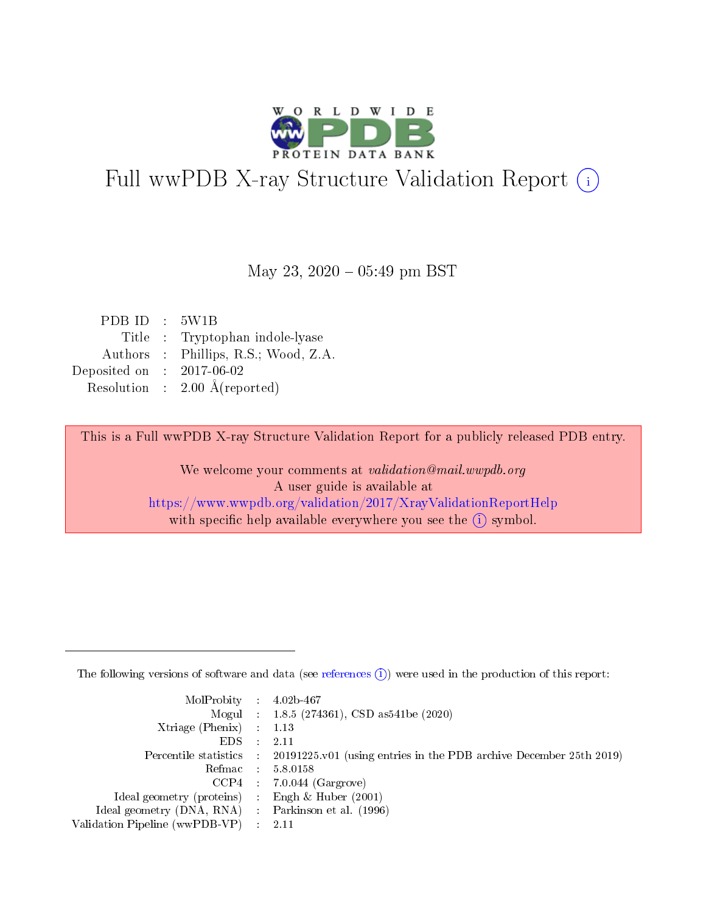

## Full wwPDB X-ray Structure Validation Report (i)

#### May 23,  $2020 - 05:49$  pm BST

| PDB ID : 5W1B |                                          |
|---------------|------------------------------------------|
|               | Title : Tryptophan indole-lyase          |
|               | Authors : Phillips, R.S.; Wood, Z.A.     |
| Deposited on  | $: 2017-06-02$                           |
|               | Resolution : $2.00 \text{ Å}$ (reported) |
|               |                                          |

This is a Full wwPDB X-ray Structure Validation Report for a publicly released PDB entry.

We welcome your comments at validation@mail.wwpdb.org A user guide is available at <https://www.wwpdb.org/validation/2017/XrayValidationReportHelp> with specific help available everywhere you see the  $(i)$  symbol.

The following versions of software and data (see [references](https://www.wwpdb.org/validation/2017/XrayValidationReportHelp#references)  $(1)$ ) were used in the production of this report:

| MolProbity : $4.02b-467$                            |                                                                                            |
|-----------------------------------------------------|--------------------------------------------------------------------------------------------|
|                                                     | Mogul : $1.8.5$ (274361), CSD as 541be (2020)                                              |
| Xtriage (Phenix) $: 1.13$                           |                                                                                            |
| $EDS$ :                                             | -2.11                                                                                      |
|                                                     | Percentile statistics : 20191225.v01 (using entries in the PDB archive December 25th 2019) |
| Refmac : 5.8.0158                                   |                                                                                            |
| CCP4                                                | $7.0.044$ (Gargrove)                                                                       |
| Ideal geometry (proteins) :                         | Engh $\&$ Huber (2001)                                                                     |
| Ideal geometry (DNA, RNA) : Parkinson et al. (1996) |                                                                                            |
| Validation Pipeline (wwPDB-VP) : 2.11               |                                                                                            |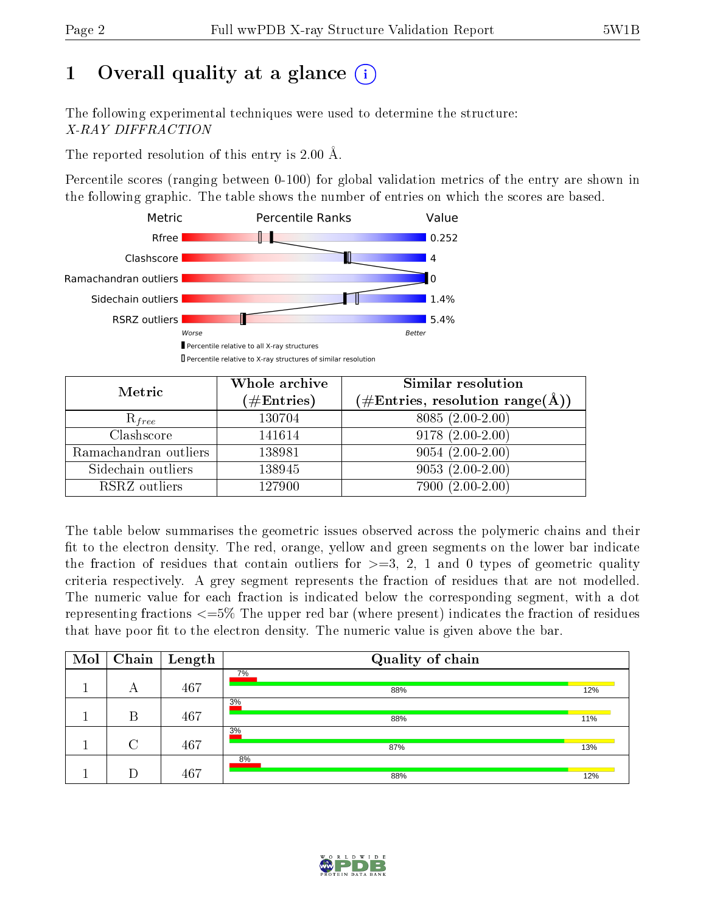## 1 [O](https://www.wwpdb.org/validation/2017/XrayValidationReportHelp#overall_quality)verall quality at a glance  $(i)$

The following experimental techniques were used to determine the structure: X-RAY DIFFRACTION

The reported resolution of this entry is 2.00 Å.

Percentile scores (ranging between 0-100) for global validation metrics of the entry are shown in the following graphic. The table shows the number of entries on which the scores are based.



| Metric                | Whole archive        | Similar resolution                                             |  |  |
|-----------------------|----------------------|----------------------------------------------------------------|--|--|
|                       | $(\#\text{Entries})$ | $(\#\text{Entries}, \, \text{resolution range}(\textup{\AA}))$ |  |  |
| $R_{free}$            | 130704               | $8085(2.00-2.00)$                                              |  |  |
| Clashscore            | 141614               | $9178(2.00-2.00)$                                              |  |  |
| Ramachandran outliers | 138981               | $9054(2.00-2.00)$                                              |  |  |
| Sidechain outliers    | 138945               | $9053(2.00-2.00)$                                              |  |  |
| RSRZ outliers         | 127900               | $7900(2.00-2.00)$                                              |  |  |

The table below summarises the geometric issues observed across the polymeric chains and their fit to the electron density. The red, orange, yellow and green segments on the lower bar indicate the fraction of residues that contain outliers for  $>=3, 2, 1$  and 0 types of geometric quality criteria respectively. A grey segment represents the fraction of residues that are not modelled. The numeric value for each fraction is indicated below the corresponding segment, with a dot representing fractions  $\epsilon=5\%$  The upper red bar (where present) indicates the fraction of residues that have poor fit to the electron density. The numeric value is given above the bar.

| Mol | Chain  | $\mid$ Length | Quality of chain |     |
|-----|--------|---------------|------------------|-----|
|     | А      | 467           | 7%<br>88%        | 12% |
|     | B      | 467           | 3%<br>88%        | 11% |
|     | $\cap$ | 467           | 3%<br>87%        | 13% |
|     |        | 467           | 8%<br>88%        | 12% |

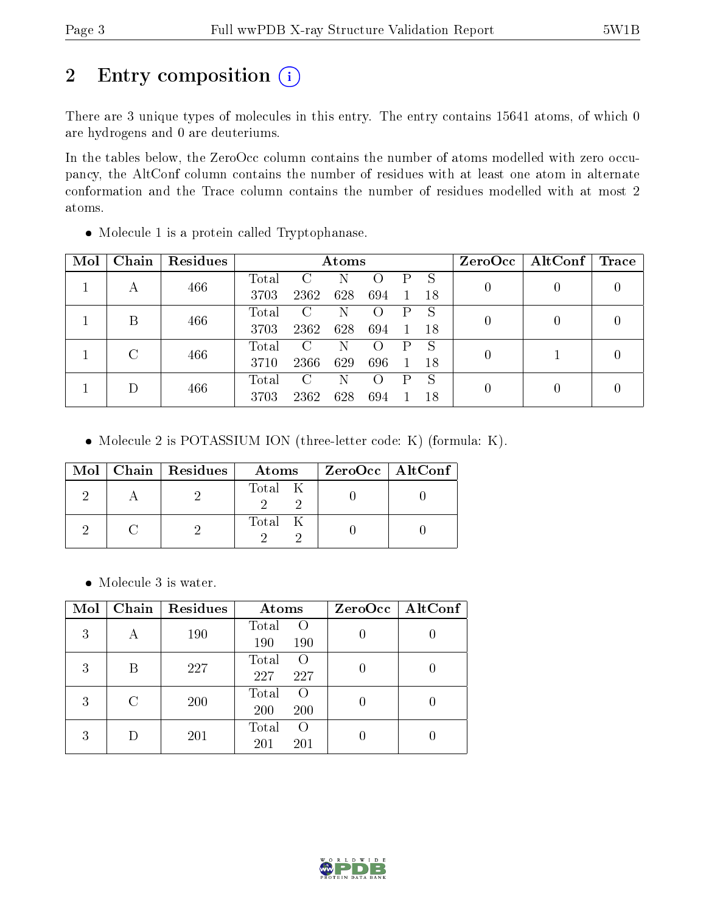## 2 Entry composition (i)

There are 3 unique types of molecules in this entry. The entry contains 15641 atoms, of which 0 are hydrogens and 0 are deuteriums.

In the tables below, the ZeroOcc column contains the number of atoms modelled with zero occupancy, the AltConf column contains the number of residues with at least one atom in alternate conformation and the Trace column contains the number of residues modelled with at most 2 atoms.

| Mol | Chain | Residues |       | Atoms         |     |                    |   | ZeroOcc | $\mathbf{AltConf} \mid \mathbf{Trace}$ |                  |  |
|-----|-------|----------|-------|---------------|-----|--------------------|---|---------|----------------------------------------|------------------|--|
|     | А     | 466      | Total | $\mathbf C$   | N   |                    | Ρ | S       | 0                                      | $\left( \right)$ |  |
|     |       |          | 3703  | 2362          | 628 | 694                |   | -18     |                                        |                  |  |
|     | В     | 466      | Total | C             | N   | $\left( \ \right)$ |   |         | 0                                      | $\left( \right)$ |  |
|     |       |          | 3703  | 2362          | 628 | 694                |   | -18     |                                        |                  |  |
|     | C     | 466      | Total | $\mathbf C$   | N   | $\left( \ \right)$ |   | S       | $\left( \right)$                       |                  |  |
|     |       |          | 3710  | 2366          | 629 | 696                |   | 18      |                                        |                  |  |
|     |       | 466      | Total | $\mathcal{C}$ | Ν   | $\left( \right)$   | Ρ | S       |                                        |                  |  |
|     |       |          | 3703  | 2362          | 628 | 694                |   | 18      | 0                                      | 0                |  |

Molecule 1 is a protein called Tryptophanase.

• Molecule 2 is POTASSIUM ION (three-letter code: K) (formula: K).

|  | Mol   Chain   Residues | Atoms   | ZeroOcc   AltConf |
|--|------------------------|---------|-------------------|
|  |                        | Total K |                   |
|  |                        | Total K |                   |

Molecule 3 is water.

| Mol | Chain | Residues | Atoms                                   | ZeroOcc   AltConf |  |
|-----|-------|----------|-----------------------------------------|-------------------|--|
| 3   | А     | 190      | Total<br>$\rm{O}$<br>190<br>190         |                   |  |
| 3   | В     | 227      | Total<br>$\left( \right)$<br>227<br>227 |                   |  |
| 3   | C     | 200      | Total<br>$\left($<br>200<br>200         |                   |  |
| 3   |       | 201      | Total<br>$\left($<br>201<br>201         |                   |  |

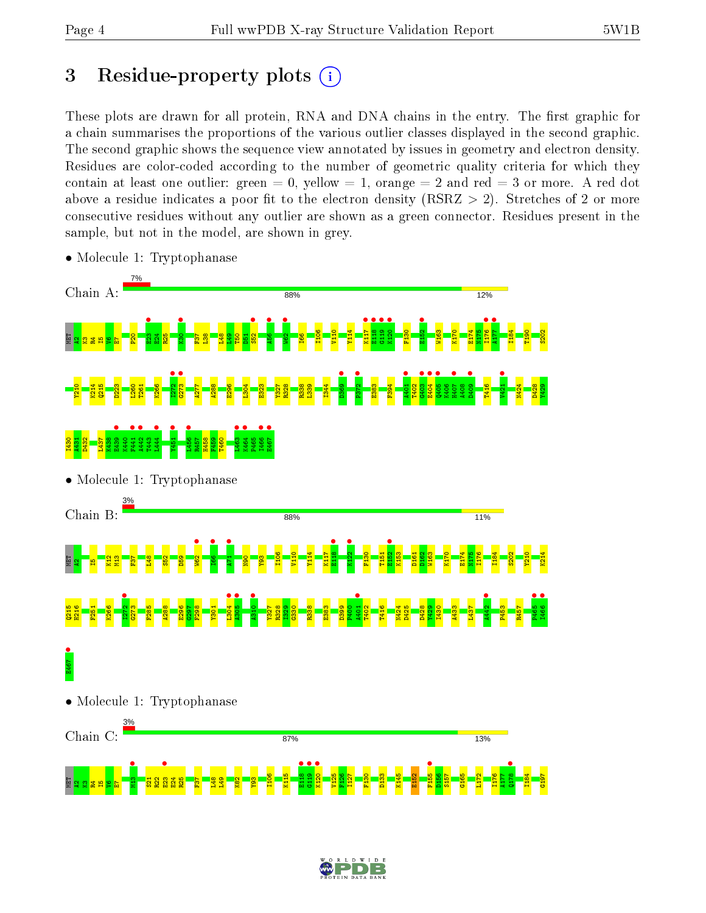## 3 Residue-property plots  $(i)$

These plots are drawn for all protein, RNA and DNA chains in the entry. The first graphic for a chain summarises the proportions of the various outlier classes displayed in the second graphic. The second graphic shows the sequence view annotated by issues in geometry and electron density. Residues are color-coded according to the number of geometric quality criteria for which they contain at least one outlier: green  $= 0$ , yellow  $= 1$ , orange  $= 2$  and red  $= 3$  or more. A red dot above a residue indicates a poor fit to the electron density (RSRZ  $> 2$ ). Stretches of 2 or more consecutive residues without any outlier are shown as a green connector. Residues present in the sample, but not in the model, are shown in grey.



• Molecule 1: Tryptophanase

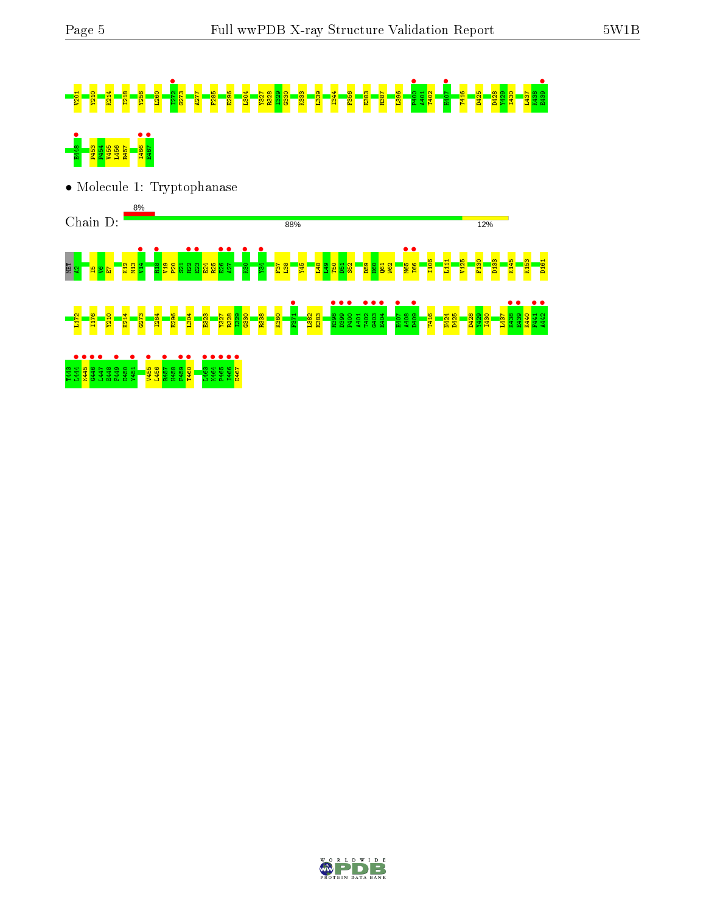# V201 Y210 K214 I218 Y256 L260 I272 • G273 A277 F285 E296 L304 Y327 R328 I329 G330 K333 L339 I344 F356 E383 R387 L396 P400 • A401 T402 H407 • T416 D425 D428 Y429 I430 L437 K438 E439 • E448 • P453 P454 V455 L456 R457 I466 • E467 •

• Molecule 1: Tryptophanase



D W I D E

 $\frac{1}{2467}$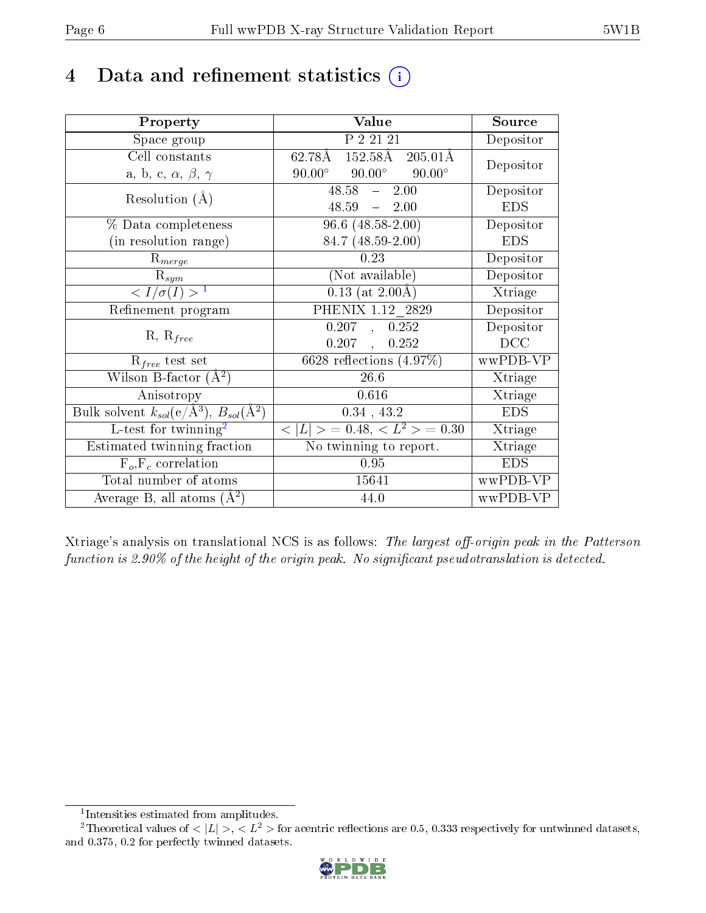## 4 Data and refinement statistics  $(i)$

| Property                                                             | Value                                             | Source     |
|----------------------------------------------------------------------|---------------------------------------------------|------------|
| Space group                                                          | P 2 21 21                                         | Depositor  |
| Cell constants                                                       | $62.78\text{\AA}$ 152.58Å 205.01Å                 | Depositor  |
| a, b, c, $\alpha$ , $\beta$ , $\gamma$                               | $90.00^\circ$<br>$90.00^{\circ}$<br>$90.00^\circ$ |            |
| Resolution $(A)$                                                     | $48.58 - 2.00$                                    | Depositor  |
|                                                                      | $48.59 - 2.00$                                    | <b>EDS</b> |
| $\%$ Data completeness                                               | $96.6$ $(48.58 - 2.00)$                           | Depositor  |
| (in resolution range)                                                | 84.7 (48.59-2.00)                                 | <b>EDS</b> |
| $R_{merge}$                                                          | 0.23                                              | Depositor  |
| $\mathrm{R}_{sym}$                                                   | (Not available)                                   | Depositor  |
| $\langle I/\sigma(I) \rangle^{-1}$                                   | $0.13$ (at 2.00Å)                                 | Xtriage    |
| Refinement program                                                   | PHENIX 1.12 2829                                  | Depositor  |
|                                                                      | 0.207, 0.252                                      | Depositor  |
| $R, R_{free}$                                                        | $0.207$ ,<br>0.252                                | DCC        |
| $R_{free}$ test set                                                  | 6628 reflections $(4.97\%)$                       | wwPDB-VP   |
| Wilson B-factor $(A^2)$                                              | 26.6                                              | Xtriage    |
| Anisotropy                                                           | 0.616                                             | Xtriage    |
| Bulk solvent $k_{sol}(e/\mathring{A}^3)$ , $B_{sol}(\mathring{A}^2)$ | $0.34$ , 43.2                                     | <b>EDS</b> |
| L-test for $\overline{\text{twinning}}^2$                            | $< L >$ = 0.48, $< L2 >$ = 0.30                   | Xtriage    |
| Estimated twinning fraction                                          | No twinning to report.                            | Xtriage    |
| $\overline{F_o}, \overline{F_c}$ correlation                         | 0.95                                              | <b>EDS</b> |
| Total number of atoms                                                | 15641                                             | wwPDB-VP   |
| Average B, all atoms $(A^2)$                                         | 44.0                                              | wwPDB-VP   |

Xtriage's analysis on translational NCS is as follows: The largest off-origin peak in the Patterson function is  $2.90\%$  of the height of the origin peak. No significant pseudotranslation is detected.

<sup>&</sup>lt;sup>2</sup>Theoretical values of  $\langle |L| \rangle$ ,  $\langle L^2 \rangle$  for acentric reflections are 0.5, 0.333 respectively for untwinned datasets, and 0.375, 0.2 for perfectly twinned datasets.



<span id="page-5-1"></span><span id="page-5-0"></span><sup>1</sup> Intensities estimated from amplitudes.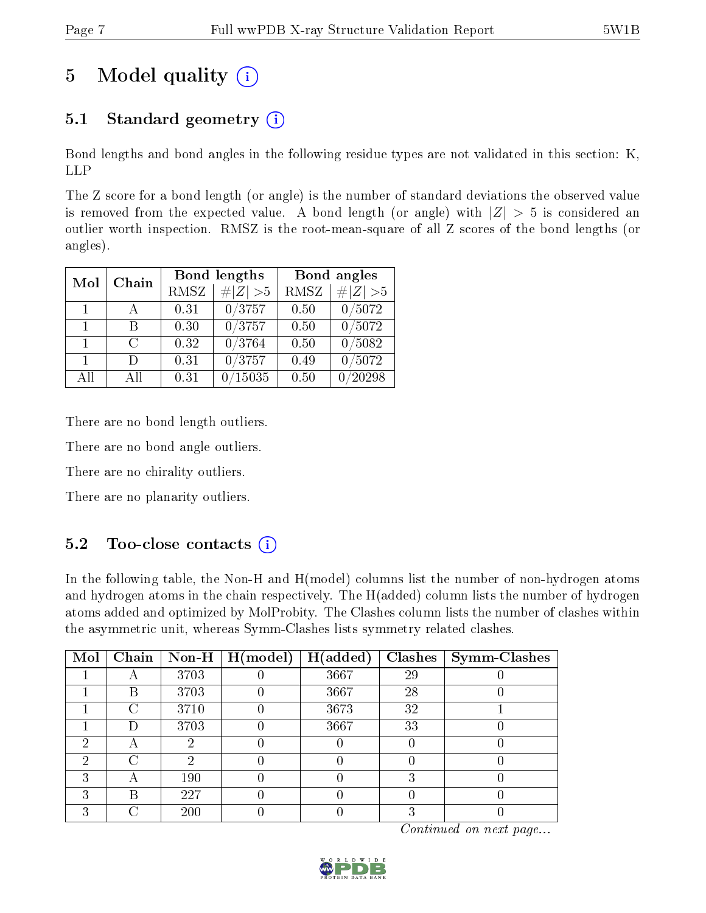## 5 Model quality  $(i)$

## 5.1 Standard geometry  $(i)$

Bond lengths and bond angles in the following residue types are not validated in this section: K, LLP

The Z score for a bond length (or angle) is the number of standard deviations the observed value is removed from the expected value. A bond length (or angle) with  $|Z| > 5$  is considered an outlier worth inspection. RMSZ is the root-mean-square of all Z scores of the bond lengths (or angles).

| Mol            | Chain  |             | Bond lengths     | Bond angles |           |  |
|----------------|--------|-------------|------------------|-------------|-----------|--|
|                |        | <b>RMSZ</b> | $\# Z  > 5$      | <b>RMSZ</b> | # $ Z >5$ |  |
| $\mathbf{1}$   | A      | 0.31        | 0/3757           | 0.50        | 0/5072    |  |
| $\mathbf{1}$   | R      | 0.30        | 0/3757           | 0.50        | 0/5072    |  |
| $\mathbf{1}$   | $\cap$ | 0.32        | 0/3764           | 0.50        | 0/5082    |  |
| $\overline{1}$ | Ð      | 0.31        | 0/3757           | 0.49        | 0/5072    |  |
| All            | Αll    | 0.31        | $^{\prime}15035$ | 0.50        | 20298     |  |

There are no bond length outliers.

There are no bond angle outliers.

There are no chirality outliers.

There are no planarity outliers.

### $5.2$  Too-close contacts  $\overline{1}$

In the following table, the Non-H and H(model) columns list the number of non-hydrogen atoms and hydrogen atoms in the chain respectively. The H(added) column lists the number of hydrogen atoms added and optimized by MolProbity. The Clashes column lists the number of clashes within the asymmetric unit, whereas Symm-Clashes lists symmetry related clashes.

| Mol |   |      | $\boxed{\text{Chain}}$   Non-H   H(model) | H(added) |    | $Clashes$   Symm-Clashes |
|-----|---|------|-------------------------------------------|----------|----|--------------------------|
|     |   | 3703 |                                           | 3667     | 29 |                          |
|     | В | 3703 |                                           | 3667     | 28 |                          |
|     | ⊖ | 3710 |                                           | 3673     | 32 |                          |
|     |   | 3703 |                                           | 3667     | 33 |                          |
| 6)  |   |      |                                           |          |    |                          |
| 2   | ∩ |      |                                           |          |    |                          |
| ົ   |   | 190  |                                           |          |    |                          |
|     | R | 227  |                                           |          |    |                          |
|     |   | 200  |                                           |          |    |                          |

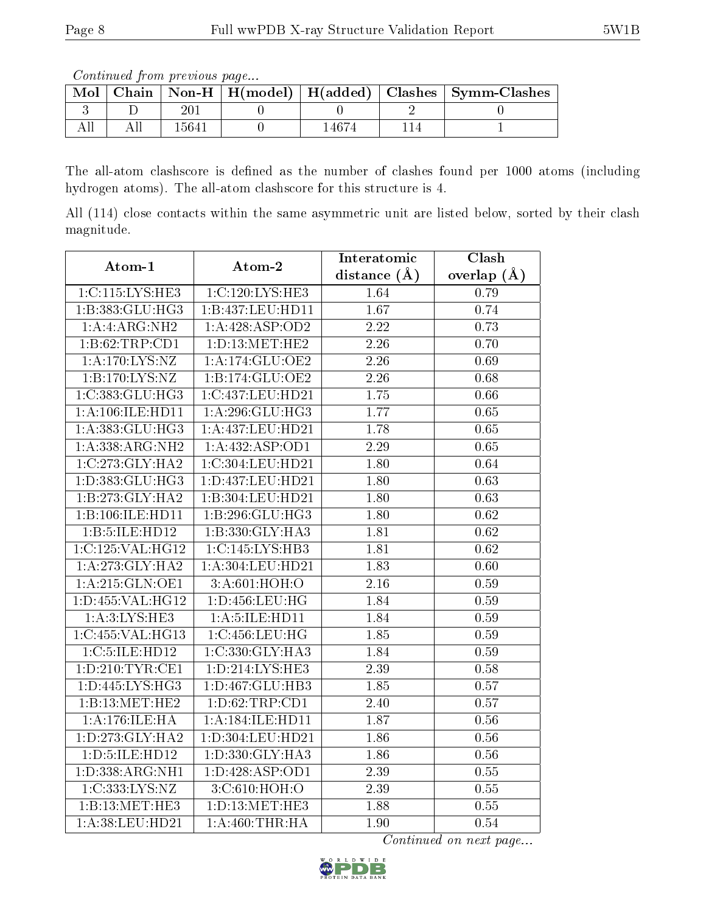Continued from previous page...

| Mol |         |       | Chain   Non-H   H(model)   H(added)   Clashes   Symm-Clashes |
|-----|---------|-------|--------------------------------------------------------------|
|     | 20      |       |                                                              |
|     | ' 564 i | 14674 |                                                              |

The all-atom clashscore is defined as the number of clashes found per 1000 atoms (including hydrogen atoms). The all-atom clashscore for this structure is 4.

All (114) close contacts within the same asymmetric unit are listed below, sorted by their clash magnitude.

| Atom-1                      | Atom-2              | Interatomic       | Clash             |
|-----------------------------|---------------------|-------------------|-------------------|
|                             |                     | distance $(A)$    | overlap $(\AA)$   |
| 1:C:115:LYS:HE3             | 1:C:120:LYS:HE3     | 1.64              | 0.79              |
| 1:B:383:GLU:HG3             | 1:B:437:LEU:HD11    | 1.67              | 0.74              |
| 1:A:ARG:NH2                 | 1: A:428: ASP:OD2   | $\overline{2.22}$ | 0.73              |
| 1:B:62:TRP:CD1              | 1: D: 13: MET: HE2  | 2.26              | 0.70              |
| $1:A:170:L\overline{YS:NZ}$ | 1:A:174:GLU:OE2     | 2.26              | 0.69              |
| 1:B:170:LYS:NZ              | 1:B:174:GLU:OE2     | 2.26              | 0.68              |
| 1:C:383:GLU:HG3             | 1:C:437:LEU:HD21    | 1.75              | 0.66              |
| 1: A: 106: ILE: HD11        | 1: A:296: GLU:HG3   | 1.77              | 0.65              |
| 1: A: 383: GLU: HG3         | 1:A:437:LEU:HD21    | 1.78              | 0.65              |
| 1:A:338:ARG:NH2             | 1:A:432:ASP:OD1     | $\overline{2.29}$ | 0.65              |
| 1:C:273:GLY:HA2             | 1:C:304:LEU:HD21    | 1.80              | 0.64              |
| 1:D:383:GLU:HG3             | 1:D:437:LEU:HD21    | 1.80              | $\overline{0.63}$ |
| 1:B:273:GLY:HA2             | 1:B:304:LEU:HD21    | 1.80              | $\overline{0.63}$ |
| 1:B:106:ILE:HD11            | 1:B:296:GLU:HG3     | 1.80              | 0.62              |
| 1:B:5:ILE:HD12              | 1:B:330:GLY:HA3     | 1.81              | $\overline{0.62}$ |
| 1:C:125:VAL:HG12            | 1:C:145:LYS:HB3     | 1.81              | 0.62              |
| 1:A:273:GLY:HA2             | 1:A:304:LEU:HD21    | 1.83              | 0.60              |
| 1:A:215:GLN:OE1             | 3:A:601:HOH:O       | 2.16              | 0.59              |
| 1:D:455:VAL:HG12            | 1:D:456:LEU:HG      | 1.84              | 0.59              |
| 1: A:3: LYS: HE3            | 1:A:5:ILE:HD11      | 1.84              | 0.59              |
| 1:C:455:VAL:HG13            | 1:C:456:LEU:HG      | 1.85              | 0.59              |
| 1:C:5:ILE:HD12              | 1:C:330:GLY:HA3     | 1.84              | 0.59              |
| 1: D: 210: TYR: CE1         | 1:D:214:LYS:HE3     | 2.39              | 0.58              |
| 1: D: 445: LYS: HG3         | 1:D:467:GLU:HB3     | 1.85              | 0.57              |
| 1:B:13:MET:HE2              | 1: D:62:TRP:CD1     | 2.40              | 0.57              |
| 1:A:176:ILE:HA              | 1: A:184: ILE: HD11 | 1.87              | 0.56              |
| 1: D: 273: GLY: HA2         | 1:D:304:LEU:HD21    | 1.86              | 0.56              |
| 1:D:5:ILE:HD12              | 1:D:330:GLY:HA3     | 1.86              | 0.56              |
| 1:D:338:ARG:NH1             | 1: D: 428: ASP: OD1 | 2.39              | $0.55\,$          |
| 1:C:333:LYS:NZ              | 3:C:610:HOH:O       | 2.39              | 0.55              |
| 1:B:13:MET:HE3              | 1: D: 13: MET: HE3  | 1.88              | 0.55              |
| 1:A:38:LEU:HD21             | 1: A:460:THR:HA     | 1.90              | 0.54              |

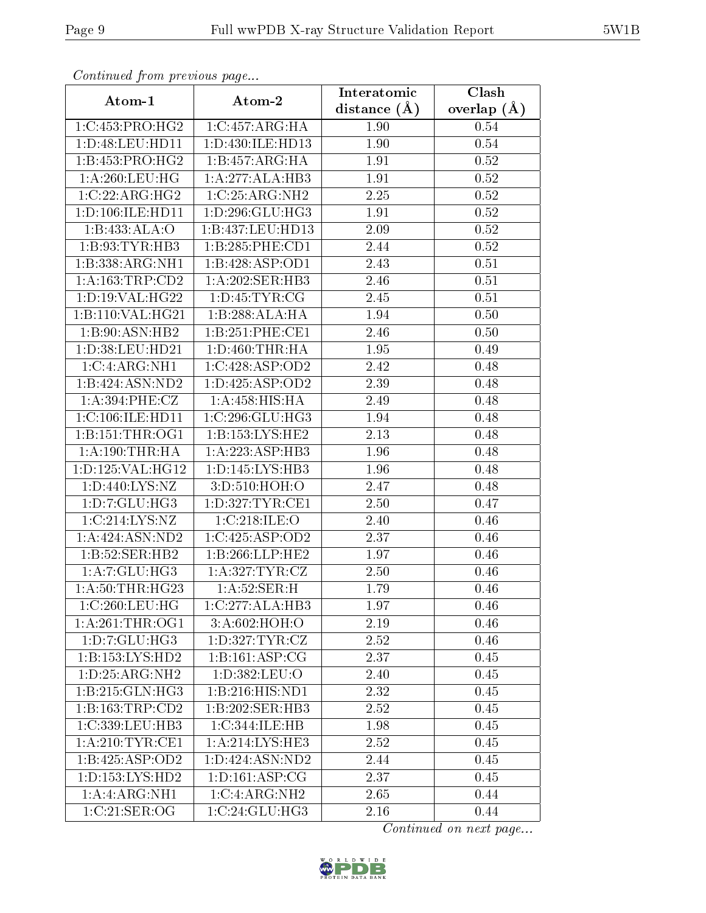| Continuati pont previous page |                     | Interatomic    | Clash           |
|-------------------------------|---------------------|----------------|-----------------|
| Atom-1                        | Atom-2              | distance $(A)$ | overlap $(\AA)$ |
| 1:C:453:PRO:HG2               | 1:C:457:ARG:HA      | 1.90           | 0.54            |
| 1: D: 48: LEU: HD11           | 1:D:430:ILE:HD13    | 1.90           | 0.54            |
| 1:B:453:PRO:HG2               | 1:B:457:ARG:HA      | 1.91           | 0.52            |
| 1: A:260:LEU:HG               | 1:A:277:ALA:HB3     | 1.91           | 0.52            |
| 1:C:22:ARG:HG2                | 1:C:25:ARG:NH2      | 2.25           | 0.52            |
| 1:D:106:ILE:HD11              | 1: D: 296: GLU: HG3 | 1.91           | 0.52            |
| 1:B:433:ALA:O                 | 1:B:437:LEU:HD13    | 2.09           | 0.52            |
| 1:B:93:TYR:HB3                | 1:B:285:PHE:CD1     | 2.44           | 0.52            |
| 1:B:338:ARG:NH1               | 1:B:428:ASP:OD1     | 2.43           | 0.51            |
| 1: A: 163: TRP: CD2           | 1: A:202: SER:HB3   | 2.46           | 0.51            |
| 1: D: 19: VAL:HG22            | 1: D: 45: TYR: CG   | 2.45           | 0.51            |
| 1:B:110:VAL:HG21              | 1:B:288:ALA:HA      | 1.94           | 0.50            |
| 1:B:90:ASN:HB2                | 1:B:251:PHE:CE1     | 2.46           | 0.50            |
| 1:D:38:LEU:HD21               | 1: D: 460: THR: HA  | 1.95           | 0.49            |
| 1:C:4:ARG:NH1                 | 1:C:428:ASP:OD2     | 2.42           | 0.48            |
| 1:B:424:ASN:ND2               | 1: D: 425: ASP: OD2 | 2.39           | 0.48            |
| 1:A:394:PHE:CZ                | 1: A:458:HIS:HA     | 2.49           | 0.48            |
| 1:C:106:ILE:HD11              | 1:C:296:GLU:HG3     | 1.94           | 0.48            |
| 1: B: 151: THR: OG1           | 1:B:153:LYS:HE2     | 2.13           | 0.48            |
| 1: A:190:THR:HA               | 1:A:223:ASP:HB3     | 1.96           | 0.48            |
| 1:D:125:VAL:HG12              | 1: D: 145: LYS: HB3 | 1.96           | 0.48            |
| 1:D:440:LYS:NZ                | 3:D:510:HOH:O       | 2.47           | 0.48            |
| 1: D: 7: GLU: HG3             | 1: D: 327: TYR: CE1 | 2.50           | 0.47            |
| 1:C:214:LYS:NZ                | 1:C:218:ILE:O       | 2.40           | 0.46            |
| 1:A:424:ASN:ND2               | 1:C:425:ASP:OD2     | 2.37           | 0.46            |
| 1:B:52:SER:HB2                | 1:B:266:LLP:HE2     | 1.97           | 0.46            |
| 1:A:7:GLU:HG3                 | 1: A:327: TYR: CZ   | 2.50           | 0.46            |
| 1: A:50:THR:HG23              | 1:A:52:SER:H        | 1.79           | 0.46            |
| 1:C:260:LEU:HG                | 1:C:277:ALA:HB3     | 1.97           | 0.46            |
| 1:A:261:THR:OG1               | 3:A:602:HOH:O       | 2.19           | 0.46            |
| 1: D: 7: GLU: HG3             | 1: D: 327: TYR: CZ  | 2.52           | 0.46            |
| 1:B:153:LYS:HD2               | 1: B:161: ASP:CG    | 2.37           | 0.45            |
| 1: D: 25: ARG: NH2            | 1:D:382:LEU:O       | 2.40           | 0.45            |
| 1:B:215:GLN:HG3               | 1:B:216:HIS:ND1     | 2.32           | 0.45            |
| 1:B:163:TRP:CD2               | 1:B:202:SER:HB3     | 2.52           | 0.45            |
| 1:C:339:LEU:HB3               | 1:C:344:ILE:HB      | 1.98           | 0.45            |
| 1: A:210:TYR:CE1              | 1:A:214:LYS:HE3     | 2.52           | 0.45            |
| 1:B:425:ASP:OD2               | 1:D:424:ASN:ND2     | 2.44           | 0.45            |
| 1: D: 153: LYS: HD2           | 1: D: 161: ASP: CG  | 2.37           | 0.45            |
| 1:A:ARG:NH1                   | 1:C:4:ARG:NH2       | 2.65           | 0.44            |
| 1:C:21:SER:OG                 | 1:C:24:GLU:HG3      | 2.16           | 0.44            |

Continued from previous page.

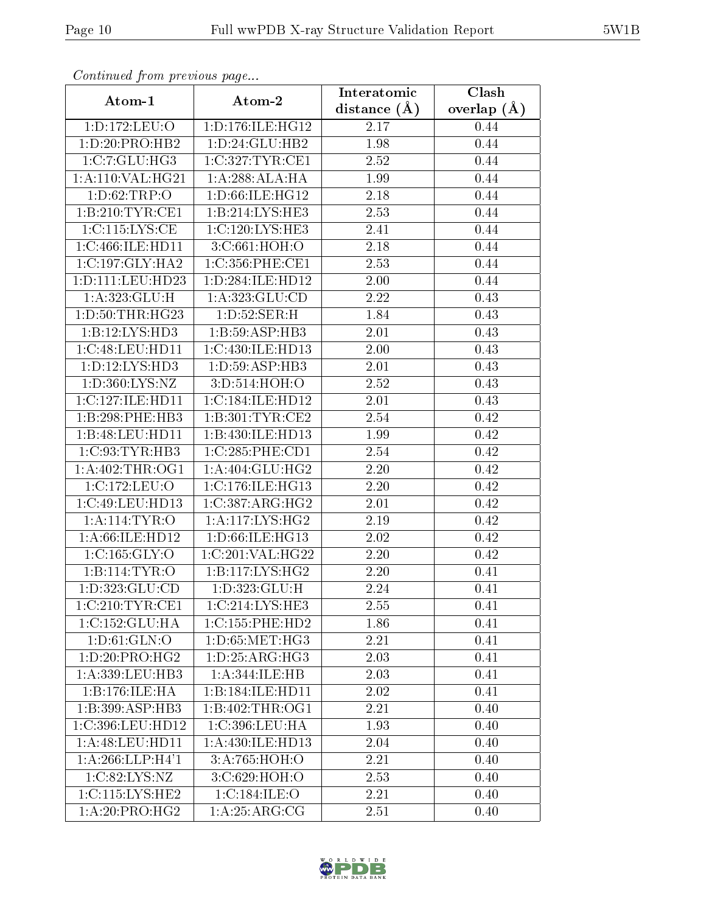| сонинией јтот ртеvious раде |                     | Interatomic    | Clash         |  |
|-----------------------------|---------------------|----------------|---------------|--|
| Atom-1                      | Atom-2              | distance $(A)$ | overlap $(A)$ |  |
| 1:D:172:LEU:O               | 1:D:176:ILE:HG12    | 2.17           | 0.44          |  |
| 1:D:20:PRO:HB2              | 1: D:24: GLU:HB2    | 1.98           | 0.44          |  |
| 1:C:7:GLU:HG3               | 1:C:327:TYR:CE1     | 2.52           | 0.44          |  |
| 1:A:110:VAL:HG21            | 1:A:288:ALA:HA      | 1.99           | 0.44          |  |
| 1: D:62:TRP:O               | 1: D:66: ILE: HG12  | 2.18           | 0.44          |  |
| 1:B:210:TYR:CE1             | 1:B:214:LYS:HE3     | 2.53           | 0.44          |  |
| 1:C:115:LYS:CE              | 1:C:120:LYS:HE3     | 2.41           | 0.44          |  |
| 1:C:466:ILE:HD11            | 3:C:661:HOH:O       | 2.18           | 0.44          |  |
| 1:C:197:GLY:HA2             | 1:C:356:PHE:CE1     | 2.53           | 0.44          |  |
| 1:D:111:LEU:HD23            | 1:D:284:ILE:HD12    | 2.00           | 0.44          |  |
| 1:A:323:GLU:H               | 1:A:323:GLU:CD      | 2.22           | 0.43          |  |
| 1: D: 50: THR: HG23         | 1: D: 52: SER:H     | 1.84           | 0.43          |  |
| 1:B:12:LYS:HD3              | 1:B:59:ASP:HB3      | 2.01           | 0.43          |  |
| 1:C:48:LEU:HD11             | 1:C:430:ILE:HD13    | 2.00           | 0.43          |  |
| 1:D:12:LYS:HD3              | 1:D:59:ASP:HB3      | 2.01           | 0.43          |  |
| 1:D:360:LYS:NZ              | 3: D: 514: HOH: O   | 2.52           | 0.43          |  |
| 1:C:127:ILE:HD11            | 1:C:184:ILE:HD12    | 2.01           | 0.43          |  |
| 1:B:298:PHE:HB3             | 1:B:301:TYR:CE2     | 2.54           | 0.42          |  |
| 1:B:48:LEU:HD11             | 1:B:430:ILE:HD13    | 1.99           | 0.42          |  |
| 1:C:93:TYR:HB3              | 1:C:285:PHE:CD1     | 2.54           | 0.42          |  |
| 1: A:402:THR:OG1            | 1: A:404: GLU:HG2   | 2.20           | 0.42          |  |
| 1:C:172:LEU:O               | 1:C:176:ILE:HG13    | 2.20           | 0.42          |  |
| 1:C:49:LEU:HD13             | 1:C:387:ARG:HG2     | 2.01           | 0.42          |  |
| 1:A:114:TYR:O               | 1:A:117:LYS:HG2     | 2.19           | 0.42          |  |
| 1:A:66:ILE:HD12             | 1:D:66:ILE:HG13     | 2.02           | 0.42          |  |
| 1: C: 165: GLY: O           | 1:C:201:VAL:HG22    | 2.20           | 0.42          |  |
| 1:Bi:114:TYR:O              | 1:B:117:LYS:HG2     | 2.20           | 0.41          |  |
| 1:D:323:GLU:CD              | 1: D: 323: GLU: H   | 2.24           | 0.41          |  |
| 1:C:210:TYR:CE1             | 1:C:214:LYS:HE3     | 2.55           | 0.41          |  |
| 1:C:152:GLU:HA              | 1:C:155:PHE:HD2     | 1.86           | 0.41          |  |
| 1: D:61: GLN:O              | 1: D:65: MET:HG3    | 2.21           | 0.41          |  |
| 1: D: 20: PRO:HG2           | 1: D: 25: ARG: HG3  | 2.03           | 0.41          |  |
| 1:A:339:LEU:HB3             | 1:A:344:ILE:HB      | 2.03           | 0.41          |  |
| 1:B:176:ILE:HA              | 1:B:184:ILE:HD11    | 2.02           | 0.41          |  |
| 1:B:399:ASP:HB3             | 1:B:402:THR:OG1     | 2.21           | 0.40          |  |
| 1:C:396:LEU:HD12            | 1:C:396:LEU:HA      | 1.93           | 0.40          |  |
| 1: A:48: LEU: HD11          | 1: A:430: ILE: HD13 | 2.04           | 0.40          |  |
| 1: A:266:LLP:H4'1           | 3:A:765:HOH:O       | 2.21           | 0.40          |  |
| 1: C:82: LYS: NZ            | 3:C:629:HOH:O       | 2.53           | 0.40          |  |
| 1:C:115:LYS:HE2             | 1:C:184:ILE:O       | 2.21           | 0.40          |  |
| 1:A:20:PRO:HG2              | 1: A:25: ARG:CG     | 2.51           | 0.40          |  |

Continued from previous page.

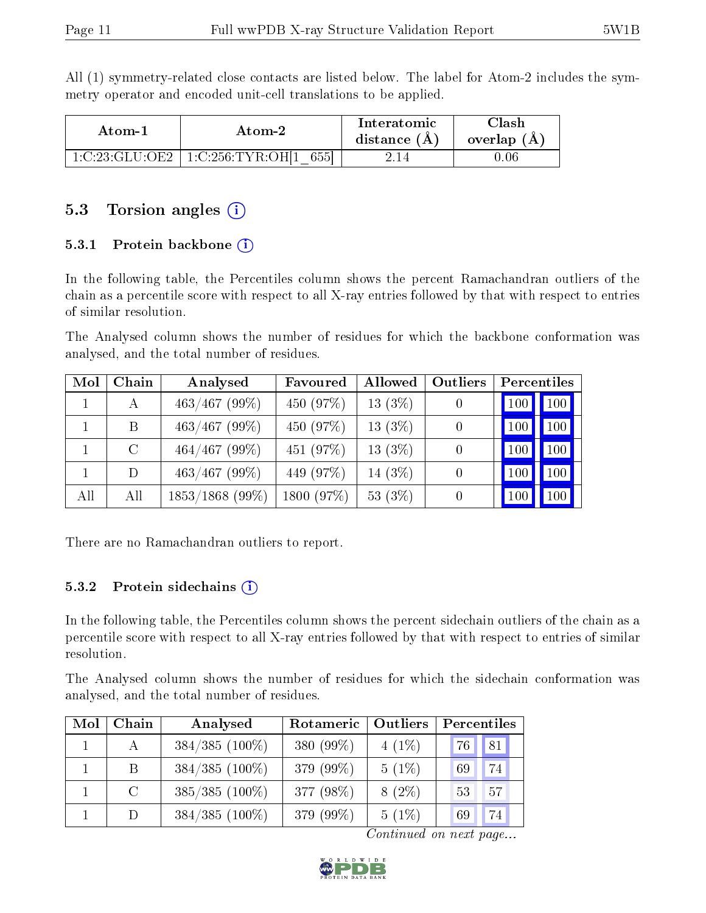All (1) symmetry-related close contacts are listed below. The label for Atom-2 includes the symmetry operator and encoded unit-cell translations to be applied.

| Atom-1         | Atom-2                              | Interatomic<br>distance $(A)$ | `lash<br>overlap (A) |
|----------------|-------------------------------------|-------------------------------|----------------------|
| 1:C:23:GLU:OE2 | 655<br>$^{\circ}$ 1:C:256:TYR:OH[1] |                               | 1.06                 |

#### 5.3 Torsion angles  $(i)$

#### 5.3.1 Protein backbone  $(i)$

In the following table, the Percentiles column shows the percent Ramachandran outliers of the chain as a percentile score with respect to all X-ray entries followed by that with respect to entries of similar resolution.

The Analysed column shows the number of residues for which the backbone conformation was analysed, and the total number of residues.

| Mol | Chain   | Analysed          | Favoured   | Allowed    | Outliers | Percentiles |                     |
|-----|---------|-------------------|------------|------------|----------|-------------|---------------------|
|     | A       | $463/467$ (99%)   | 450 (97%)  | 13(3%)     |          | 100         | $\vert$ 100 $\vert$ |
|     | B       | $463/467$ (99%)   | 450 (97%)  | $13(3\%)$  | $\Omega$ | $100\,$     | 100                 |
|     | $\rm C$ | $464/467$ (99%)   | 451 (97%)  | $13(3\%)$  |          | 100         | 100                 |
|     | D       | $463/467$ (99\%)  | 449 (97%)  | 14 $(3%)$  |          | 100         | 100                 |
| All | All     | $1853/1868$ (99%) | 1800 (97%) | 53 $(3\%)$ |          | 100         | 100                 |

There are no Ramachandran outliers to report.

#### $5.3.2$  Protein sidechains  $(i)$

In the following table, the Percentiles column shows the percent sidechain outliers of the chain as a percentile score with respect to all X-ray entries followed by that with respect to entries of similar resolution.

The Analysed column shows the number of residues for which the sidechain conformation was analysed, and the total number of residues.

| Mol | Chain          | Analysed         | Rotameric<br>Outliers |          | Percentiles |    |  |
|-----|----------------|------------------|-----------------------|----------|-------------|----|--|
|     | $\mathbf{A}$   | $384/385$ (100%) | 380 (99%)             | $4(1\%)$ | , 76 F      | 81 |  |
|     | <sup>B</sup>   | $384/385$ (100%) | 379 (99%)             | $5(1\%)$ | 69          | 74 |  |
|     | $\overline{C}$ | $385/385$ (100%) | 377 (98%)             | $8(2\%)$ | 53          | 57 |  |
|     | D              | $384/385$ (100%) | 379 (99%)             | $5(1\%)$ | 69          | 74 |  |

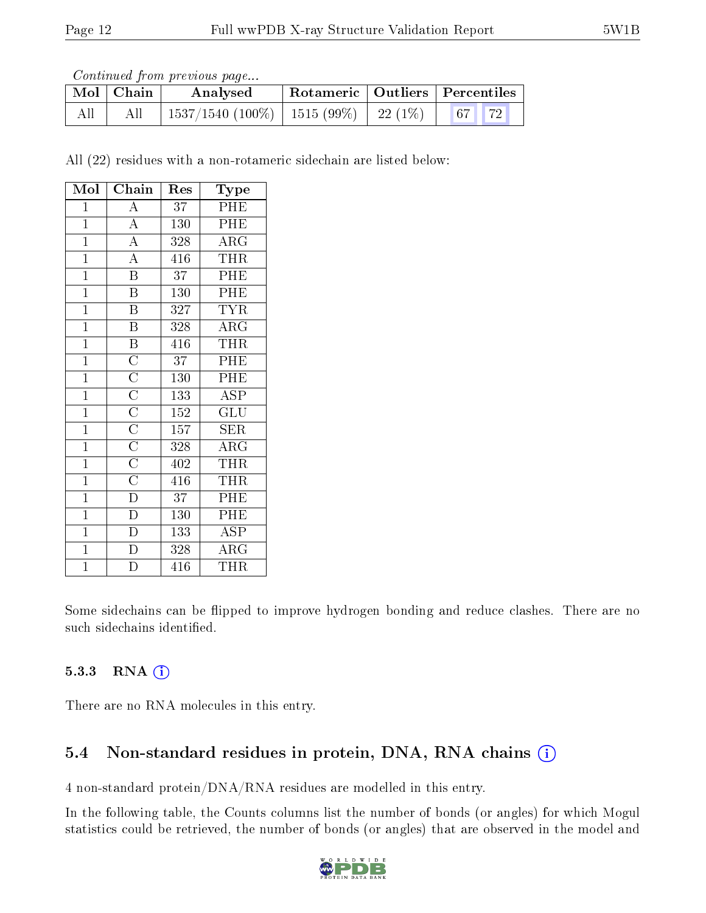Continued from previous page...

|     | $\mid$ Mol $\mid$ Chain | Analysed                                     | Rotameric   Outliers   Percentiles |  |  |
|-----|-------------------------|----------------------------------------------|------------------------------------|--|--|
| All |                         | $1537/1540$ (100\%)   1515 (99\%)   22 (1\%) |                                    |  |  |

All (22) residues with a non-rotameric sidechain are listed below:

| Mol            | $\overline{\text{Chain}}$                                                                            | Res              | Type                    |
|----------------|------------------------------------------------------------------------------------------------------|------------------|-------------------------|
| $\mathbf{1}$   | $\boldsymbol{A}$                                                                                     | 37               | PHE                     |
| $\mathbf{1}$   | $\overline{A}$                                                                                       | $\overline{1}30$ | PHE                     |
| $\mathbf{1}$   | $\overline{A}$                                                                                       | 328              | ARG                     |
| $\overline{1}$ | $\overline{A}$                                                                                       | $\overline{416}$ | THR                     |
| $\overline{1}$ | $\overline{\mathbf{B}}$                                                                              | $\overline{37}$  | PHE                     |
| $\mathbf{1}$   | $\overline{\mathrm{B}}$                                                                              | 130              | PHE                     |
| $\mathbf{1}$   | $\overline{\mathrm{B}}$                                                                              | 327              | $\overline{\text{TYR}}$ |
| $\mathbf{1}$   | $\overline{\mathrm{B}}$                                                                              | 328              | $\overline{\text{ARG}}$ |
| $\overline{1}$ | $\overline{B}$                                                                                       | $\overline{416}$ | THR                     |
| $\mathbf{1}$   | $\overline{C}$                                                                                       | 37               | PHE                     |
| $\mathbf{1}$   | $\frac{\overline{\text{C}}}{\overline{\text{C}}}}$ $\frac{\overline{\text{C}}}{\overline{\text{C}}}$ | 130              | PHE                     |
| $\overline{1}$ |                                                                                                      | 133              | $\overline{\rm ASP}$    |
| $\overline{1}$ |                                                                                                      | $\overline{1}52$ | $\mathrm{GLU}$          |
| $\overline{1}$ |                                                                                                      | $\overline{157}$ | SER                     |
| $\mathbf{1}$   | $\overline{C}$                                                                                       | 328              | ARG                     |
| $\mathbf{1}$   | $\overline{C}$                                                                                       | 402              | <b>THR</b>              |
| $\overline{1}$ | $\frac{\overline{C}}{D}$                                                                             | 416              | <b>THR</b>              |
| $\mathbf{1}$   |                                                                                                      | 37               | PHE                     |
| $\overline{1}$ | $\overline{\rm D}$                                                                                   | $\overline{130}$ | PHE                     |
| $\mathbf{1}$   | $\overline{D}$                                                                                       | 133              | ASP                     |
| $\overline{1}$ | $\overline{\rm D}$                                                                                   | 328              | $\overline{\rm{ARG}}$   |
| $\overline{1}$ | $\overline{\rm D}$                                                                                   | 416              | THR                     |

Some sidechains can be flipped to improve hydrogen bonding and reduce clashes. There are no such sidechains identified.

#### 5.3.3 RNA (i)

There are no RNA molecules in this entry.

#### 5.4 Non-standard residues in protein, DNA, RNA chains (i)

4 non-standard protein/DNA/RNA residues are modelled in this entry.

In the following table, the Counts columns list the number of bonds (or angles) for which Mogul statistics could be retrieved, the number of bonds (or angles) that are observed in the model and

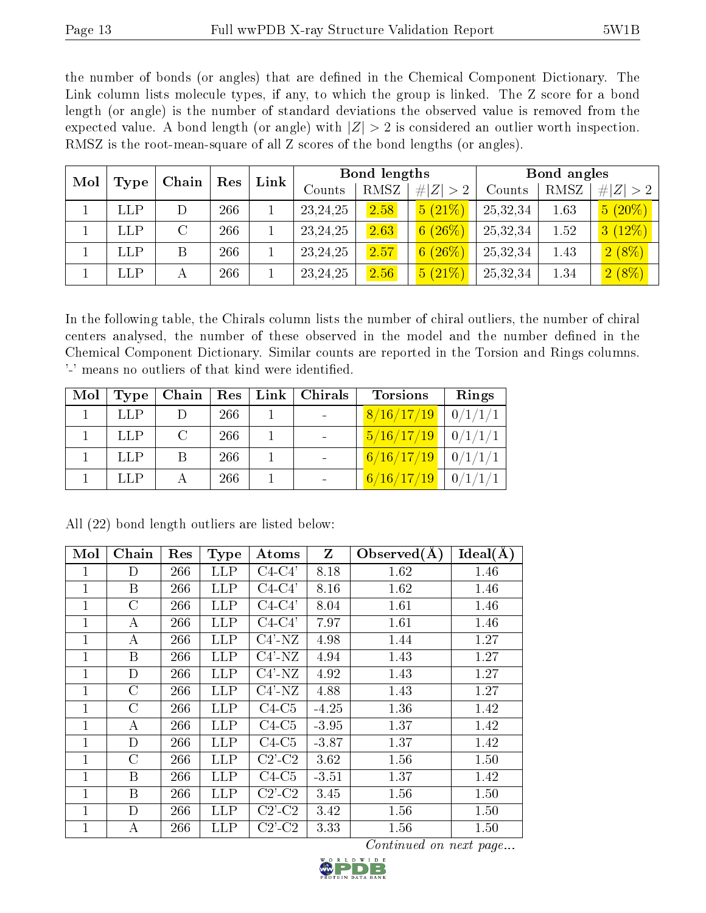the number of bonds (or angles) that are defined in the Chemical Component Dictionary. The Link column lists molecule types, if any, to which the group is linked. The Z score for a bond length (or angle) is the number of standard deviations the observed value is removed from the expected value. A bond length (or angle) with  $|Z| > 2$  is considered an outlier worth inspection. RMSZ is the root-mean-square of all Z scores of the bond lengths (or angles).

| Mol<br>Type | Chain | Res | Link | Bond lengths |      |             | Bond angles |      |             |
|-------------|-------|-----|------|--------------|------|-------------|-------------|------|-------------|
|             |       |     |      | Counts       | RMSZ | # $ Z  > 2$ | Counts      | RMSZ | # $ Z  > 2$ |
| <b>LLP</b>  |       | 266 |      | 23, 24, 25   | 2.58 | 5(21%)      | 25,32,34    | 1.63 | $5(20\%)$   |
| <b>LLP</b>  |       | 266 |      | 23, 24, 25   | 2.63 | 6(26%)      | 25,32,34    | 1.52 | 3(12%)      |
| <b>LLP</b>  | B     | 266 |      | 23, 24, 25   | 2.57 | 6(26%)      | 25,32,34    | 1.43 | $2(8\%)$    |
| LLP         |       | 266 |      | 23, 24, 25   | 2.56 | $5(21\%)$   | 25,32,34    | 1.34 | $2(8\%)$    |

In the following table, the Chirals column lists the number of chiral outliers, the number of chiral centers analysed, the number of these observed in the model and the number defined in the Chemical Component Dictionary. Similar counts are reported in the Torsion and Rings columns. '-' means no outliers of that kind were identified.

| Mol | Type       | Chain | Res | $\lfloor$ Link $\rfloor$ | Chirals | <b>Torsions</b>     | Rings   |
|-----|------------|-------|-----|--------------------------|---------|---------------------|---------|
|     | LLP        |       | 266 |                          |         | $\sqrt{8/16/17/19}$ | 0/1/1/1 |
|     | <b>LLP</b> | C     | 266 |                          |         | 5/16/17/19          | 0/1/1/1 |
|     | <b>LLP</b> |       | 266 |                          |         | 6/16/17/19          | 0/1/1/1 |
|     | LLP        |       | 266 |                          |         | 6/16/17/19          | 0/1/1/1 |

| Mol          | Chain    | Res | <b>Type</b> | Atoms                    | $\mathbf{Z}$ | Observed $(A)$ | $\overline{\text{Ideal}}(\AA)$ |
|--------------|----------|-----|-------------|--------------------------|--------------|----------------|--------------------------------|
| 1            | D        | 266 | <b>LLP</b>  | $C4-C4'$                 | 8.18         | 1.62           | 1.46                           |
| 1            | B        | 266 | <b>LLP</b>  | $C4-C4'$                 | 8.16         | 1.62           | 1.46                           |
| $\mathbf{1}$ | $\rm C$  | 266 | <b>LLP</b>  | $C4-C4'$                 | 8.04         | 1.61           | 1.46                           |
| 1            | A        | 266 | <b>LLP</b>  | $C4-C4'$                 | 7.97         | 1.61           | 1.46                           |
| 1            | A        | 266 | <b>LLP</b>  | $C4'$ -NZ                | 4.98         | 1.44           | 1.27                           |
| $\mathbf{1}$ | B        | 266 | <b>LLP</b>  | $C4'$ -NZ                | 4.94         | 1.43           | 1.27                           |
| $\mathbf{1}$ | D        | 266 | <b>LLP</b>  | $C4'$ -NZ                | 4.92         | 1.43           | 1.27                           |
| $\mathbf{1}$ | $\rm C$  | 266 | <b>LLP</b>  | $C4'$ -NZ                | 4.88         | 1.43           | 1.27                           |
| 1            | $\rm C$  | 266 | <b>LLP</b>  | $C4-C5$                  | $-4.25$      | 1.36           | 1.42                           |
| 1            | $\bf{A}$ | 266 | <b>LLP</b>  | $C4-C5$                  | $-3.95$      | 1.37           | 1.42                           |
| $\mathbf{1}$ | D        | 266 | <b>LLP</b>  | $C4-C5$                  | $-3.87$      | 1.37           | 1.42                           |
| $\mathbf{1}$ | $\rm C$  | 266 | <b>LLP</b>  | $C2$ <sup>-</sup> $C2$   | 3.62         | 1.56           | 1.50                           |
| 1            | B        | 266 | <b>LLP</b>  | $C4-C5$                  | $-3.51$      | 1.37           | 1.42                           |
| $\mathbf{1}$ | B        | 266 | <b>LLP</b>  | $C2$ <sup>-</sup> $C2$   | 3.45         | 1.56           | 1.50                           |
| $\mathbf{1}$ | D        | 266 | <b>LLP</b>  | $C2$ <sup>-</sup> $C2$   | 3.42         | 1.56           | 1.50                           |
| 1            | А        | 266 | LLP         | $C2$ <sup>'</sup> - $C2$ | 3.33         | 1.56           | 1.50                           |

All (22) bond length outliers are listed below:

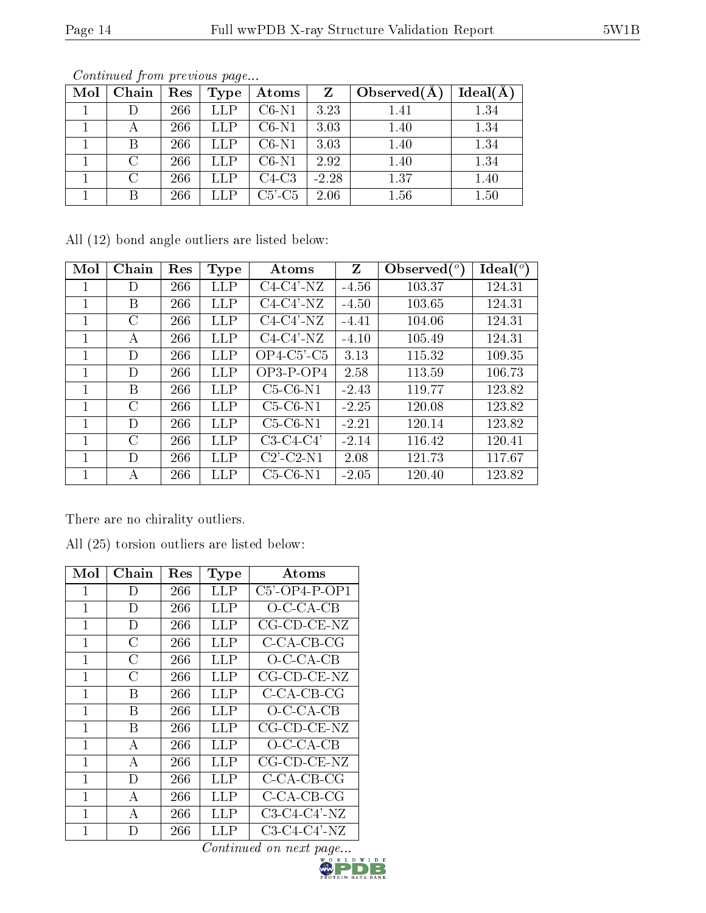| Mol | Chain  | Res | Type        | Atoms        | Z       | Observed $(A)$ | Ideal(A) |
|-----|--------|-----|-------------|--------------|---------|----------------|----------|
|     |        | 266 | <b>LLP</b>  | $C6-N1$      | 3.23    | 1.41           | 1.34     |
|     |        | 266 | <b>LLP</b>  | $C6-N1$      | 3.03    | 1.40           | 1.34     |
|     |        | 266 | LLP         | $C6-N1$      | 3.03    | 1.40           | 1.34     |
|     | C      | 266 | <b>LLP</b>  | $C6-N1$      | 2.92    | 1.40           | 1.34     |
|     | $\cap$ | 266 | ${\rm LLP}$ | $C4-C3$      | $-2.28$ | 1.37           | 1.40     |
|     |        | 266 |             | $C5$ '- $C5$ | 2.06    | 1.56           | 1.50     |

Continued from previous page...

All (12) bond angle outliers are listed below:

| Mol | Chain         | Res | Type       | Atoms                      | Z       | Observed $(^\circ)$ | Ideal $(^{\circ}$ |
|-----|---------------|-----|------------|----------------------------|---------|---------------------|-------------------|
|     | D             | 266 | LLP        | $C4-C4'$ -NZ               | $-4.56$ | 103.37              | 124.31            |
| 1   | В             | 266 | LLP        | $C4-C4'$ -NZ               | $-4.50$ | 103.65              | 124.31            |
|     | С             | 266 | LLP        | $C4-C4'$ -NZ               | $-4.41$ | 104.06              | 124.31            |
|     | А             | 266 | <b>LLP</b> | $C4-C4'$ -NZ               | $-4.10$ | 105.49              | 124.31            |
|     | D             | 266 | <b>LLP</b> | $OP4$ -C5'-C5              | 3.13    | 115.32              | 109.35            |
| 1   | D             | 266 | LLP        | $OP3-POP4$                 | 2.58    | 113.59              | 106.73            |
|     | В             | 266 | LLP        | $C5-C6-N1$                 | $-2.43$ | 119.77              | 123.82            |
| 1   | $\mathcal{C}$ | 266 | LLP        | $C5-C6-N1$                 | $-2.25$ | 120.08              | 123.82            |
|     | D             | 266 | LLP        | $C5-C6-N1$                 | $-2.21$ | 120.14              | 123.82            |
|     | C             | 266 | LLP        | $C3-C4-C4'$                | $-2.14$ | 116.42              | 120.41            |
| 1   | D             | 266 | LLP        | $C2$ <sup>-</sup> $C2$ -N1 | 2.08    | 121.73              | 117.67            |
|     | А             | 266 | LLP        | $C5-C6-N1$                 | $-2.05$ | 120.40              | 123.82            |

There are no chirality outliers.

All (25) torsion outliers are listed below:

| Mol          | Chain        | Res | Type        | Atoms                        |
|--------------|--------------|-----|-------------|------------------------------|
| 1            | D            | 266 | ${\rm LLP}$ | $C5$ <sup>2</sup> -OP4-P-OP1 |
| 1            | D            | 266 | LLP         | $O$ -C-CA-CB                 |
| 1            | D            | 266 | LLP         | $CG$ - $CD$ - $CE$ - $NZ$    |
| 1            | С            | 266 | LLP         | C-CA-CB-CG                   |
| 1            | С            | 266 | LLP         | $O$ -C-CA-CB                 |
| 1            | С            | 266 | LLP         | $CG$ - $CD$ - $CE$ - $NZ$    |
| 1            | В            | 266 | LLP         | C-CA-CB-CG                   |
| $\mathbf{1}$ | В            | 266 | <b>LLP</b>  | $O$ -C-CA-CB                 |
| 1            | В            | 266 | LLP         | $CG$ - $CD$ - $CE$ - $NZ$    |
| 1            | A            | 266 | LLP         | $O$ -C-CA-CB                 |
| $\mathbf{1}$ | A            | 266 | <b>LLP</b>  | $CG$ - $CD$ - $CE$ - $NZ$    |
| 1            | D            | 266 | <b>LLP</b>  | $C$ -CA-CB-CG                |
| 1            | $\mathbf{A}$ | 266 | LLP         | C-CA-CB-CG                   |
| 1            | А            | 266 | LLP         | $C3-C4-C4'$ -NZ              |
| 1            | D            | 266 | LLP         | C3-C4-C4'-NZ                 |

 $\overline{Continued\ on\ next\ page...}_{\substack{w,0,\ R\ L\ D\ W\ I\ D\ E}}$ 

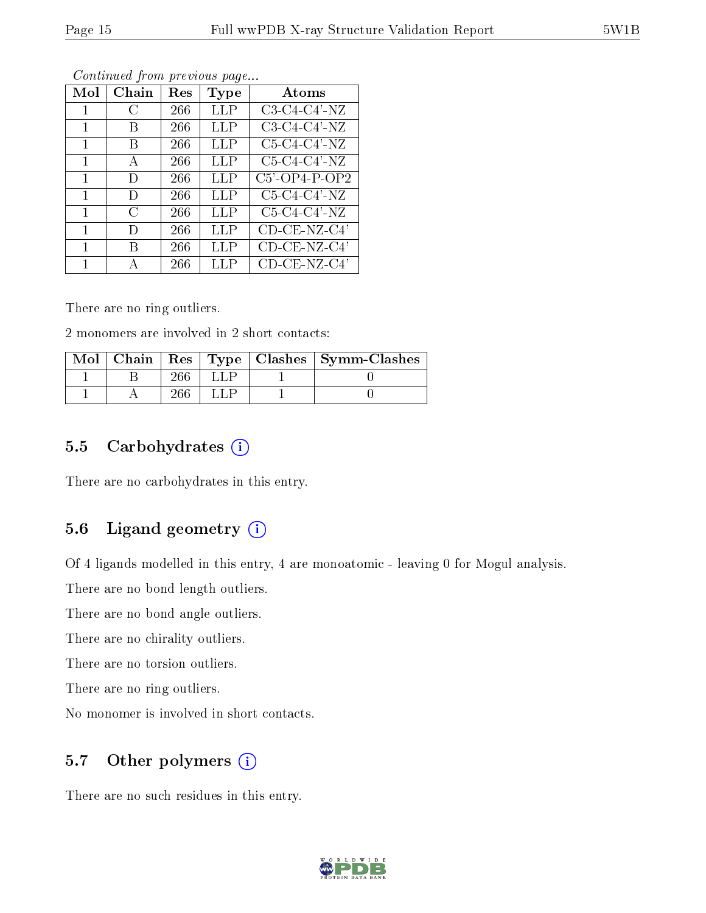| Mol | $Chain$       | $\operatorname{Res}% \left( \mathcal{N}\right) \equiv\operatorname{Res}(\mathcal{N}_{0},\mathcal{N}_{0})$ | Type | Atoms                        |
|-----|---------------|-----------------------------------------------------------------------------------------------------------|------|------------------------------|
| 1   | $\mathcal{C}$ | 266                                                                                                       | LLP  | $C3-C4-C4'$ -NZ              |
| 1   | В             | 266                                                                                                       | LLP  | $C3-C4-C4'$ -NZ              |
| 1   | В             | 266                                                                                                       | LLP  | $C5-C4-C4'$ -NZ              |
| 1   | A             | 266                                                                                                       | LLP  | $C5-C4-C4'$ -NZ              |
| 1   | Ð             | 266                                                                                                       | LLP  | $C5$ <sup>2</sup> -OP4-P-OP2 |
| 1   | D             | 266                                                                                                       | LLP  | $C5-C4-C4'$ -NZ              |
| 1   | C             | 266                                                                                                       | LLP  | $C5-C4-C4'$ -NZ              |
| 1   | Ð             | 266                                                                                                       | LLP  | $CD$ - $CE$ -NZ- $C4$ '      |
| 1   | R             | 266                                                                                                       | LLP  | $CD$ - $CE$ -NZ- $C4$ '      |
|     |               | 266                                                                                                       | LLP  | CD-CE-NZ-C4'                 |

Continued from previous page...

There are no ring outliers.

2 monomers are involved in 2 short contacts:

|  |     |  | Mol   Chain   Res   Type   Clashes   Symm-Clashes |
|--|-----|--|---------------------------------------------------|
|  |     |  |                                                   |
|  | 266 |  |                                                   |

#### 5.5 Carbohydrates  $(i)$

There are no carbohydrates in this entry.

#### 5.6 Ligand geometry  $(i)$

Of 4 ligands modelled in this entry, 4 are monoatomic - leaving 0 for Mogul analysis.

There are no bond length outliers.

There are no bond angle outliers.

There are no chirality outliers.

There are no torsion outliers.

There are no ring outliers.

No monomer is involved in short contacts.

#### 5.7 [O](https://www.wwpdb.org/validation/2017/XrayValidationReportHelp#nonstandard_residues_and_ligands)ther polymers  $(i)$

There are no such residues in this entry.

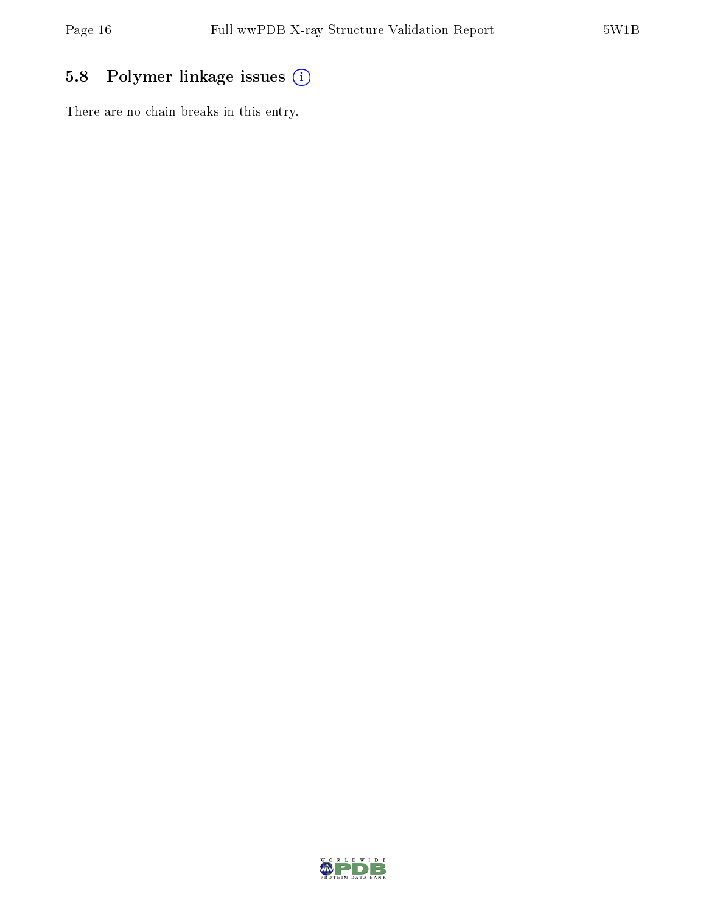## 5.8 Polymer linkage issues (i)

There are no chain breaks in this entry.

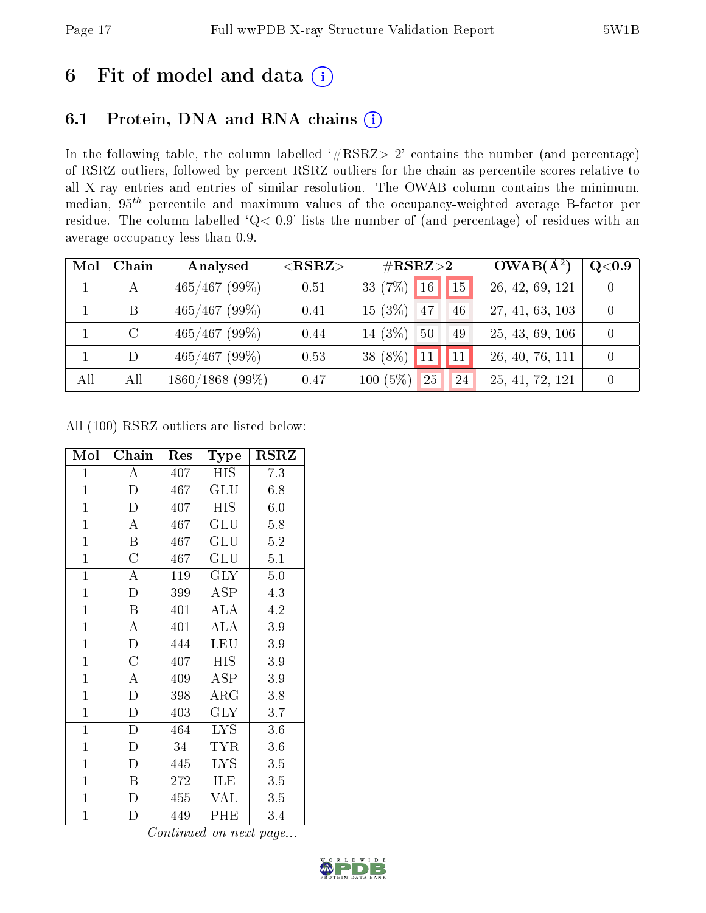## 6 Fit of model and data  $(i)$

## 6.1 Protein, DNA and RNA chains  $(i)$

In the following table, the column labelled  $#RSRZ> 2'$  contains the number (and percentage) of RSRZ outliers, followed by percent RSRZ outliers for the chain as percentile scores relative to all X-ray entries and entries of similar resolution. The OWAB column contains the minimum, median,  $95<sup>th</sup>$  percentile and maximum values of the occupancy-weighted average B-factor per residue. The column labelled ' $Q< 0.9$ ' lists the number of (and percentage) of residues with an average occupancy less than 0.9.

| Mol | Chain   | Analysed          | $<$ RSRZ $>$ | $\rm \#RSRZ{>}2$         | $OWAB(A^2)$     | $\mathrm{Q}{<}0.9$ |
|-----|---------|-------------------|--------------|--------------------------|-----------------|--------------------|
|     |         | $465/467$ (99\%)  | 0.51         | 33 $(7\%)$<br>16<br> 15  | 26, 42, 69, 121 |                    |
|     | Β       | $465/467$ (99\%)  | 0.41         | $15(3\%)$<br>47<br>46    | 27, 41, 63, 103 |                    |
|     | $\rm C$ | $465/467$ (99%)   | 0.44         | 14 $(3%)$<br>$-50$<br>49 | 25, 43, 69, 106 |                    |
|     | D       | $465/467$ (99%)   | 0.53         | 38 $(8\%)$               | 26, 40, 76, 111 |                    |
| All | All     | $1860/1868$ (99%) | 0.47         | $100(5\%)$<br>25<br>24   | 25, 41, 72, 121 |                    |

All (100) RSRZ outliers are listed below:

| Mol            | Chain                   | Res | Type       | $_{\rm RSRZ}$ |
|----------------|-------------------------|-----|------------|---------------|
| $\mathbf{1}$   | A                       | 407 | <b>HIS</b> | 7.3           |
| $\overline{1}$ | D                       | 467 | GLU        | 6.8           |
| $\mathbf{1}$   | $\mathbf D$             | 407 | <b>HIS</b> | 6.0           |
| $\mathbf{1}$   | $\mathbf{A}$            | 467 | GLU        | 5.8           |
| $\overline{1}$ | B                       | 467 | GLU        | $5.2\,$       |
| $\overline{1}$ | $\overline{C}$          | 467 | GLU        | 5.1           |
| $\overline{1}$ | $\boldsymbol{A}$        | 119 | <b>GLY</b> | $5.0\,$       |
| $\mathbf{1}$   | D                       | 399 | ASP        | 4.3           |
| $\overline{1}$ | $\boldsymbol{B}$        | 401 | ALA        | 4.2           |
| $\overline{1}$ | $\overline{\rm A}$      | 401 | <b>ALA</b> | 3.9           |
| $\overline{1}$ | D                       | 444 | LEU        | 3.9           |
| $\overline{1}$ | $\overline{\rm C}$      | 407 | ĪΗS        | 3.9           |
| $\mathbf{1}$   | $\overline{\rm A}$      | 409 | ASP        | 3.9           |
| $\mathbf{1}$   | $\overline{D}$          | 398 | $\rm{ARG}$ | 3.8           |
| $\mathbf{1}$   | $\mathbf D$             | 403 | <b>GLY</b> | 3.7           |
| $\overline{1}$ | D                       | 464 | <b>LYS</b> | $3.6\,$       |
| $\mathbf{1}$   | $\mathbf D$             | 34  | TYR        | $3.6\,$       |
| $\mathbf{1}$   | D                       | 445 | <b>LYS</b> | 3.5           |
| $\mathbf{1}$   | Β                       | 272 | ILE        | 3.5           |
| $\mathbf{1}$   | $\mathbf D$             | 455 | <b>VAL</b> | 3.5           |
| $\mathbf{1}$   | $\overline{\mathrm{D}}$ | 449 | PHE        | 3.4           |

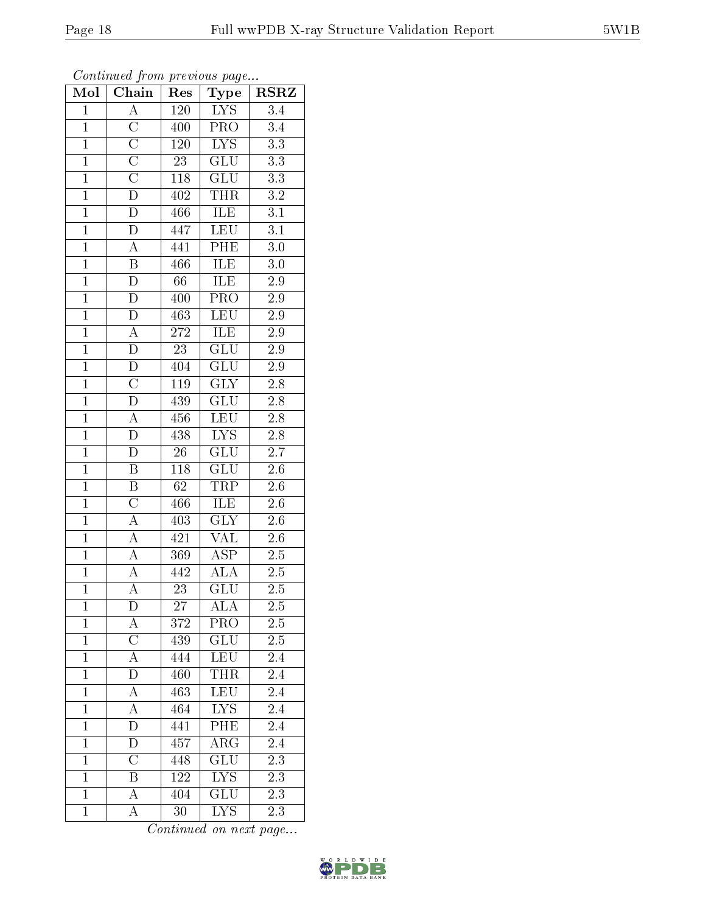|--|--|

| Mol            | $\overline{\text{Chain}}$ | Res              | Type                            | <b>RSRZ</b>      |
|----------------|---------------------------|------------------|---------------------------------|------------------|
| $\overline{1}$ | $\overline{A}$            | $\overline{120}$ | IYS                             | $\overline{3.4}$ |
| $\mathbf{1}$   | $\overline{C}$            | 400              | PRO                             | 3.4              |
| $\overline{1}$ | $\overline{\rm C}$        | <b>120</b>       | $\overline{\text{LYS}}$         | $\overline{3.3}$ |
| $\mathbf{1}$   | $\overline{C}$            | $2\overline{3}$  | GLU                             | $\overline{3.3}$ |
| $\overline{1}$ | $\overline{\rm C}$        | $118\,$          | $\overline{\text{GLU}}$         | $\overline{3.3}$ |
| $\overline{1}$ | $\overline{\mathbf{D}}$   | 402              | $T\bar{H}R$                     | $\overline{3.2}$ |
| $\overline{1}$ | $\overline{\rm D}$        | 466              | ILE                             | $\overline{3.1}$ |
| $\overline{1}$ | $\overline{\rm D}$        | 447              | <b>LEU</b>                      | $\overline{3.1}$ |
| $\overline{1}$ | $\overline{A}$            | 441              | PHE                             | $\overline{3.0}$ |
| $\overline{1}$ | $\overline{\mathbf{B}}$   | 466              | <b>ILE</b>                      | $\overline{3.0}$ |
| $\overline{1}$ | D                         | 66               | ILE                             | $\overline{2.9}$ |
| $\overline{1}$ | $\overline{\rm D}$        | 400              | $\overline{\text{PRO}}$         | $\overline{2.9}$ |
| $\overline{1}$ | $\mathbf D$               | 463              | <b>LEU</b>                      | 2.9              |
| $\overline{1}$ | $\overline{A}$            | 272              | ILE                             | $2.9\,$          |
| $\overline{1}$ | $\overline{\rm D}$        | $\overline{23}$  | $\overline{{\rm GLU}}$          | $\overline{2.9}$ |
| $\overline{1}$ | $\overline{\rm D}$        | 404              | $\overline{{\rm GLU}}$          | 2.9              |
| $\overline{1}$ | $\overline{\rm C}$        | 119              | $\overline{\mathrm{GLY}}$       | $\overline{2.8}$ |
| $\mathbf{1}$   | $\overline{\rm D}$        | 439              | <b>GLU</b>                      | $2.8\,$          |
| $\mathbf{1}$   | A                         | 456              | LEU                             | $2.8\,$          |
| $\overline{1}$ | $\overline{\rm D}$        | 438              | $\overline{\text{L} \text{YS}}$ | $\overline{2.8}$ |
| $\mathbf{1}$   | $\mathbf D$               | 26               | $\overline{\text{GLU}}$         | $\overline{2.7}$ |
| $\overline{1}$ | $\overline{\mathrm{B}}$   | <sup>118</sup>   | $\overline{\text{GLU}}$         | $\overline{2.6}$ |
| $\mathbf{1}$   | B                         | 62               | TRP                             | $2.6\,$          |
| $\overline{1}$ | $\overline{\rm C}$        | 466              | ILE                             | 2.6              |
| $\mathbf{1}$   | $\overline{A}$            | 403              | $\overline{\text{GLY}}$         | $2.\overline{6}$ |
| $\overline{1}$ | $\overline{A}$            | 421              | $\overline{\text{VAL}}$         | 2.6              |
| $\overline{1}$ | $\overline{A}$            | 369              | $\overline{\text{ASP}}$         | $\overline{2.5}$ |
| $\overline{1}$ | $\overline{\rm A}$        | 442              | $\overline{\rm ALA}$            | $2.5\,$          |
| $\overline{1}$ | $\overline{\rm A}$        | $\overline{23}$  | $\overline{\text{GLU}}$         | 2.5              |
| $\mathbf 1$    | D                         | $\overline{27}$  | <b>ALA</b>                      | 2.5              |
| $\mathbf{1}$   | А                         | 372              | $\overline{\text{PRO}}$         | $2.\overline{5}$ |
| $\mathbf{1}$   | $\overline{\rm C}$        | 439              | GLU                             | $2.5\,$          |
| $\mathbf{1}$   | $\overline{\rm A}$        | 444              | <b>LEU</b>                      | 2.4              |
| $\mathbf{1}$   | $\overline{D}$            | 460              | <b>THR</b>                      | 2.4              |
| $\mathbf{1}$   | A                         | 463              | <b>LEU</b>                      | 2.4              |
| $\overline{1}$ | A                         | 464              | $\overline{\text{LYS}}$         | 2.4              |
| $\mathbf{1}$   | $\overline{\rm D}$        | 441              | PHE                             | 2.4              |
| $\mathbf{1}$   | ${\rm D}$                 | 457              | $\overline{\rm ARG}$            | 2.4              |
| $\mathbf{1}$   | $\overline{\rm C}$        | 448              | $\overline{\text{GLU}}$         | $\overline{2.3}$ |
| $\mathbf{1}$   | B                         | 122              | <b>LYS</b>                      | 2.3              |
| $\mathbf{1}$   | $\overline{\rm A}$        | $\overline{404}$ | GLU                             | $\overline{2.3}$ |
| $\mathbf{1}$   | A                         | 30               | <b>LYS</b>                      | 2.3              |

Continued from previous page...

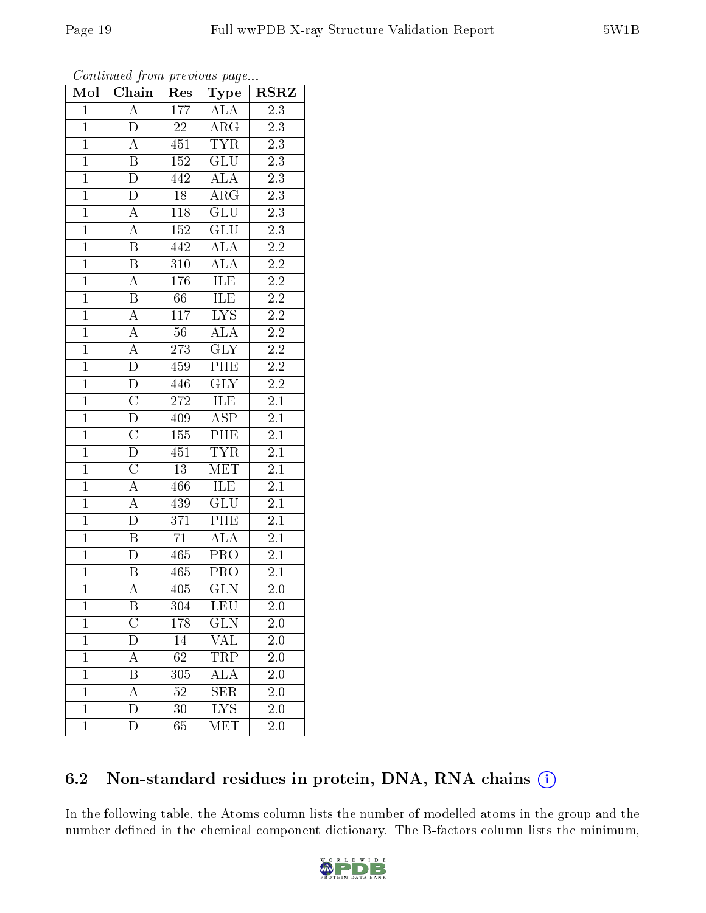| Mol            | Chain                   | Res              | Type                    | RSRZ             |
|----------------|-------------------------|------------------|-------------------------|------------------|
| $\mathbf{1}$   | $\overline{\rm A}$      | 177              | ALA                     | $\overline{2.3}$ |
| $\mathbf{1}$   | D                       | $22\,$           | $\rm{ARG}$              | 2.3              |
| $\overline{1}$ | $\boldsymbol{A}$        | 451              | <b>TYR</b>              | $\overline{2.3}$ |
| $\overline{1}$ | $\overline{\mathbf{B}}$ | $152\,$          | GLU                     | $2\overline{.3}$ |
| $\overline{1}$ | $\overline{\rm D}$      | 442              | $\overline{\rm ALA}$    | $\overline{2.3}$ |
| $\mathbf{1}$   | $\overline{D}$          | $18\,$           | $\rm{ARG}$              | $2\overline{.3}$ |
| $\mathbf{1}$   | A                       | 118              | $\overline{\text{GLU}}$ | $2.3\,$          |
| $\overline{1}$ | $\overline{\rm A}$      | 152              | GLU                     | $\overline{2.3}$ |
| $\overline{1}$ | $\, {\bf B}$            | 442              | <b>ALA</b>              | $2.2\,$          |
| $\overline{1}$ | $\overline{B}$          | $\overline{310}$ | $\overline{\rm ALA}$    | $\overline{2.2}$ |
| $\mathbf{1}$   | $\boldsymbol{A}$        | 176              | <b>ILE</b>              | $2.2\,$          |
| $\overline{1}$ | $\overline{\mathrm{B}}$ | 66               | <b>ILE</b>              | $\overline{2.2}$ |
| $\overline{1}$ | $\overline{\rm A}$      | 117              | $\overline{\text{LYS}}$ | 2.2              |
| $\overline{1}$ | $\overline{A}$          | $56\,$           | <b>ALA</b>              | $\overline{2.2}$ |
| $\overline{1}$ | $\overline{A}$          | 273              | $\overline{\text{GLY}}$ | $\overline{2.2}$ |
| $\overline{1}$ | $\overline{\rm D}$      | 459              | $\overline{\rm{PHE}}$   | $2.2\,$          |
| $\overline{1}$ | $\overline{\rm D}$      | 446              | $\overline{\text{GLY}}$ | $\overline{2.2}$ |
| $\overline{1}$ | $\overline{\rm C}$      | $\sqrt{272}$     | <b>ILE</b>              | 2.1              |
| $\overline{1}$ | $\overline{\rm D}$      | 409              | $\overline{\text{ASP}}$ | $\overline{2.1}$ |
| $\overline{1}$ | $\overline{\rm C}$      | 155              | $\overline{\text{PHE}}$ | $\overline{2.1}$ |
| $\overline{1}$ | $\overline{\rm D}$      | 451              | <b>TYR</b>              | 2.1              |
| $\overline{1}$ | $\overline{\rm C}$      | $\overline{13}$  | <b>MET</b>              | $\overline{2.1}$ |
| $\overline{1}$ | $\overline{A}$          | 466              | ILE                     | 2.1              |
| $\overline{1}$ | $\overline{A}$          | 439              | $\overline{\text{GLU}}$ | $\overline{2.1}$ |
| $\overline{1}$ | $\overline{\rm D}$      | $3\overline{71}$ | PHE                     | $2.\overline{1}$ |
| $\mathbf{1}$   | $\overline{\mathrm{B}}$ | $\overline{71}$  | <b>ALA</b>              | $2.1\,$          |
| $\overline{1}$ | $\overline{\rm D}$      | 465              | $\overline{\text{PRO}}$ | 2.1              |
| $\mathbf{1}$   | B                       | 465              | PRO                     | 2.1              |
| $\overline{1}$ | $\overline{\rm A}$      | 405              | $\overline{\text{GLN}}$ | $\overline{2.0}$ |
| 1              | Β                       | 304              | <b>LEU</b>              | $_{2.0}$         |
| $\mathbf{1}$   | $\overline{\rm C}$      | 178              | <b>GLN</b>              | 2.0              |
| $\mathbf{1}$   | D                       | 14               | VAL                     | 2.0              |
| $\mathbf{1}$   | A                       | $\overline{62}$  | TRP                     | 2.0              |
| $\mathbf{1}$   | $\overline{\mathrm{B}}$ | 305              | $\overline{\rm ALA}$    | 2.0              |
| $\mathbf{1}$   | Ā                       | $52\,$           | <b>SER</b>              | $2.\overline{0}$ |
| $\mathbf{1}$   | D                       | 30               | $\overline{\text{LYS}}$ | 2.0              |
| $\mathbf{1}$   | D                       | 65               | MET                     | 2.0              |

Continued from previous page...

### 6.2 Non-standard residues in protein, DNA, RNA chains (i)

In the following table, the Atoms column lists the number of modelled atoms in the group and the number defined in the chemical component dictionary. The B-factors column lists the minimum,